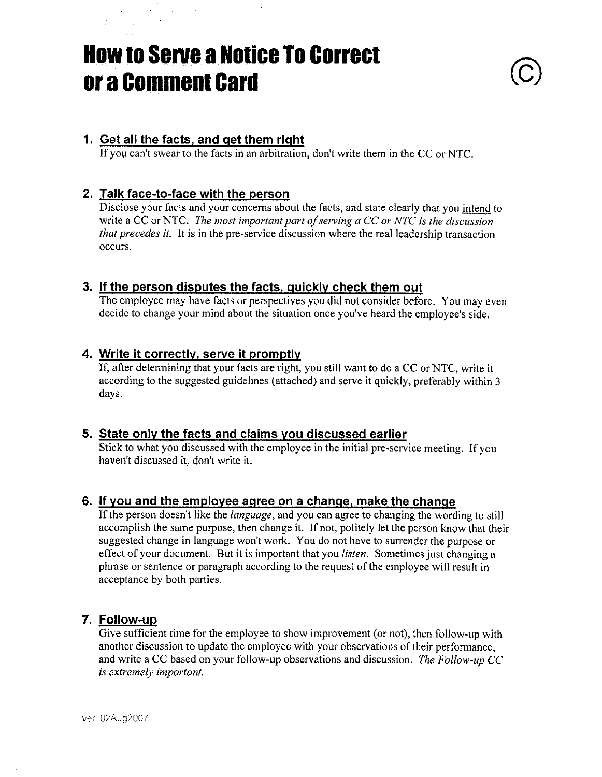# **How to Serve a Notice To Correct** or a Comment Card

## 1. Get all the facts, and get them right

If you can't swear to the facts in an arbitration, don't write them in the CC or NTC.

## 2. Talk face-to-face with the person

Disclose your facts and your concerns about the facts, and state clearly that you intend to write a CC or NTC. The most important part of serving a CC or NTC is the discussion that precedes it. It is in the pre-service discussion where the real leadership transaction occurs.

## 3. If the person disputes the facts, quickly check them out

The employee may have facts or perspectives you did not consider before. You may even decide to change your mind about the situation once you've heard the employee's side.

## 4. Write it correctly, serve it promptly

If, after determining that your facts are right, you still want to do a CC or NTC, write it according to the suggested guidelines (attached) and serve it quickly, preferably within 3 days.

## 5. State only the facts and claims you discussed earlier

Stick to what you discussed with the employee in the initial pre-service meeting. If you haven't discussed it, don't write it.

## 6. If you and the employee agree on a change, make the change

If the person doesn't like the language, and you can agree to changing the wording to still accomplish the same purpose, then change it. If not, politely let the person know that their suggested change in language won't work. You do not have to surrender the purpose or effect of your document. But it is important that you *listen*. Sometimes just changing a phrase or sentence or paragraph according to the request of the employee will result in acceptance by both parties.

## 7. Follow-up

Give sufficient time for the employee to show improvement (or not), then follow-up with another discussion to update the employee with your observations of their performance, and write a CC based on your follow-up observations and discussion. The Follow-up CC is extremely important.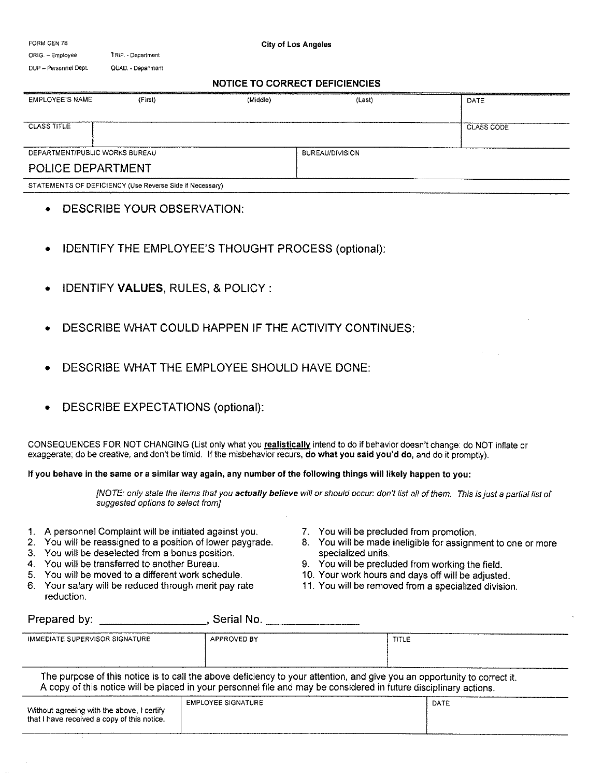| FORM GEN 78                    |                                                          | <b>City of Los Angeles</b>            |                        |                   |  |
|--------------------------------|----------------------------------------------------------|---------------------------------------|------------------------|-------------------|--|
| ORIG. - Employee               | TRIP. - Department                                       |                                       |                        |                   |  |
| DUP -- Personnel Dept.         | QUAD. - Department                                       |                                       |                        |                   |  |
|                                |                                                          | <b>NOTICE TO CORRECT DEFICIENCIES</b> |                        |                   |  |
| <b>EMPLOYEE'S NAME</b>         | (First)                                                  | (Middle)                              | (Last)                 | DATE              |  |
|                                |                                                          |                                       |                        |                   |  |
| <b>CLASS TITLE</b>             |                                                          |                                       |                        | <b>CLASS CODE</b> |  |
|                                |                                                          |                                       |                        |                   |  |
| DEPARTMENT/PUBLIC WORKS BUREAU |                                                          |                                       | <b>BUREAU/DIVISION</b> |                   |  |
| POLICE DEPARTMENT              |                                                          |                                       |                        |                   |  |
|                                | STATEMENTS OF DEFICIENCY (Use Reverse Side if Necessary) |                                       |                        |                   |  |

- DESCRIBE YOUR OBSERVATION:
- IDENTIFY THE EMPLOYEE'S THOUGHT PROCESS (optional):
- IDENTIFY VALUES, RULES, & POLICY :
- DESCRIBE WHAT COULD HAPPEN IF THE ACTIVITY CONTINUES:
- DESCRIBE WHAT THE EMPLOYEE SHOULD HAVE DONE:
- pESCRIBE EXPECTATIONS (optional):

CONSEQUENCES FOR NOT CHANGING (List only what you realistically intend to do if behavior doesn't change: do NOT inflate or exaggerate; do be creative, and don't be timid. If the misbehavior recurs, do what you said you'd do, and do it promptly).

If you behave in the same or a similar way again, any number of the following things will likely happen to you:

[NOTE: only state the items that you actually believe will or should occur: don't list all of them. This is just a partial list of suggested options to select from]

- 1. A personnel Complaint will be initiated against you.
- 2. You will be reassigned to a position of lower paygrade.
- 3. You will be deselected from a bonus position.
- 4. You will be transferred to another Bureau.
- 5. You will be moved to a different work schedule.
- 6. Your salary will be reduced through merit pay rate reduction.
- 7. You will be precluded from promotion.
- 8. You will be made ineligible for assignment to one or more specialized units.
- 9. You will be precluded from working the field.
- 10. Your work hours and days off will be adjusted.
- 1 1. You will be removed from a specialized division.

| Prepared by:                                                                              | Serial No.                |                                                                                                                                                                                                                                               |  |
|-------------------------------------------------------------------------------------------|---------------------------|-----------------------------------------------------------------------------------------------------------------------------------------------------------------------------------------------------------------------------------------------|--|
| <b>IMMEDIATE SUPERVISOR SIGNATURE</b>                                                     | APPROVED BY               | TITLE                                                                                                                                                                                                                                         |  |
|                                                                                           |                           | The purpose of this notice is to call the above deficiency to your attention, and give you an opportunity to correct it.<br>A copy of this notice will be placed in your personnel file and may be considered in future disciplinary actions. |  |
| Without agreeing with the above, I certify<br>that I have received a copy of this notice. | <b>EMPLOYEE SIGNATURE</b> | DATE                                                                                                                                                                                                                                          |  |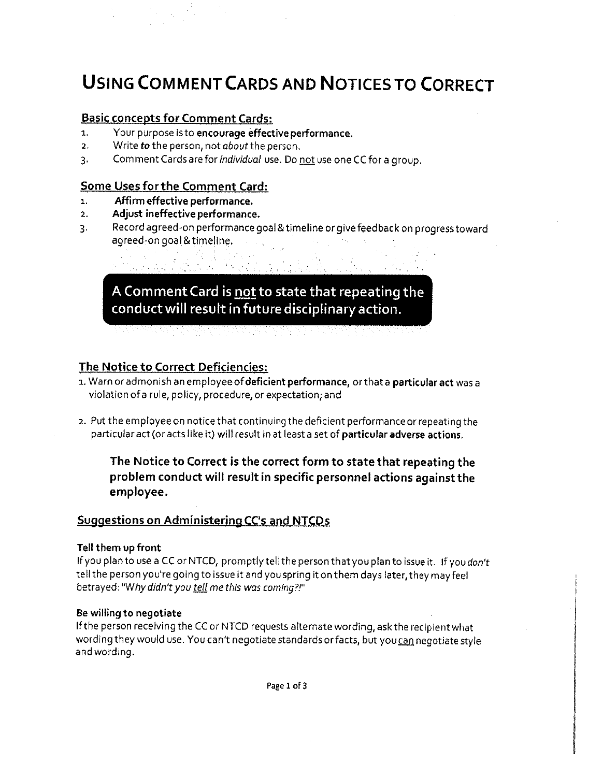## USING COMMENT CARDS AND NOTICESTO CORRECT

## Basic concepts for Comment Cards:

- 1. Your purpose is to encourage effective performance.
- 2. Write to the person, not about the person.
- 3. Comment Cards are for *individual* use. Do not use one CC for a group.

## Some Uses forthe Comment Card:

- i. Affirm effective performance.
- z. Adjust ineffective performance.
- 3. Record agreed-on performance goal&timelineorgive feedback onprogresstoward agreed-on goal &timeline.

A Comment Card is not to state that repeating the conduct will result in future disciplinary action.

## The Notice to Correct Deficiencies:

- 1. Warn or admonish an employee of deficient performance, or that a particular act was a violation ofa rule, policy, procedure, or expectation; and
- 2. Put the employee on notice that continuing the deficient performance or repeating the particularact (oracts like it) will result in at leasta set of particular adverse actions.

The Notice to Correct is the correct form to state that repeating the problem conduct will result in specific personnel actions against the employee.

## Suggestions on Administerina CC's and NTCDs

#### Tell them up front

If you plan to use a CC or NTCD, promptly tell the person that you plan to issue it. If you don't tell the person you're going to issue it and you spring it on them days later, they may feel betrayed: "Why didn't you tell me this was coming?!"

#### Be willing to negotiate

If the person receiving the CC or NTCD requests alternate wording, ask the recipient what wording they would use. You can't negotiate standards or facts, but you can negotiate style and wording.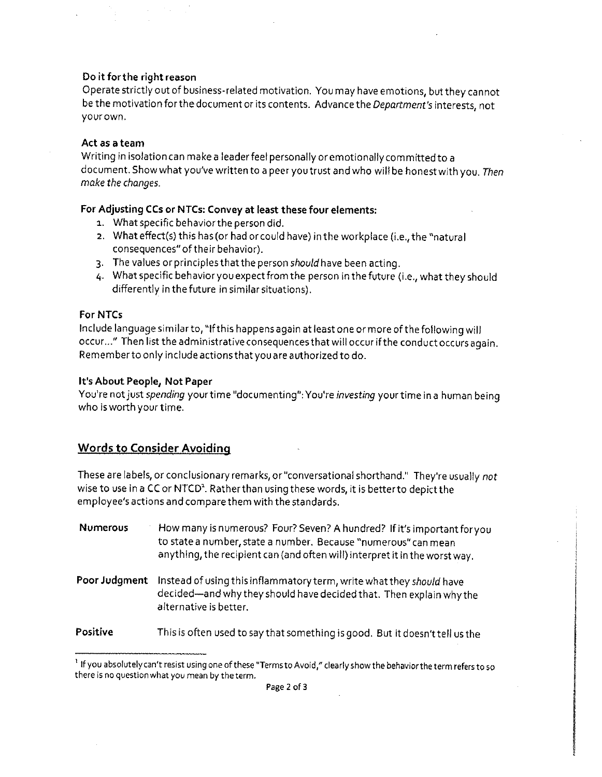#### Do it forthe right reason

Operate strictly out of business-related motivation. You may have emotions, but they cannot be the motivation for the document or its contents. Advance the Department's interests, not yourown.

#### Act as a team

Writing in isolation can make a leader feel personally or emotionally committed to a document. Show what you've written to a peer you trust and who will be honest with you. Then make the changes.

#### For Adjusting CCs or NTCs: Convey at least these four elements:

- 1. What specific behavior the person did.
- 2. What effect(s) this has (or had or could have) in the workplace (i.e., the "natural consequences"of their behavior).
- 3. The values or principlesthatthe person should have been acting.
- 4. What specific behavior you expect from the person in the future (i.e., what they should differently in the future in similarsituations).

#### For NTCs

Include language similar to, "ifthis happens again at least one or more of the following will occur..." Then list the administrative consequencesthat will occur ifthe conduct occurs again. Rememberto only include actionsthatyou are authorized to do.

#### It's About People, Not Paper

You're not just spending your time "documenting": You're investing your time in a human being who isworth your time.

## Words to Consider Avoiding

These are labels, or conclusionary remarks, or "conversational shorthand." They're usually not wise to use in a CC or NTCD'. Ratherthan using these words, it is betterto depictthe employee's actions and compare them with the standards.

- Numerous How many is numerous? Four? Seven? A hundred? If it's important for you to state a number, state a number. Because "numerous"can mean anything, the recipient can (and often wiif) interpret it in the worst way.
- Poor Judgment Instead of using this inflammatory term, write what they should have decided—and why they should have decided that. Then explainwhythe alternative is better.
- Positive This is often used to say that something is good. But it doesn't tell us the

<sup>&</sup>lt;sup>1</sup> If you absolutely can't resist using one of these "Terms to Avoid," clearly show the behavior the term refers to so there is no questionwhat you mean by theterm.